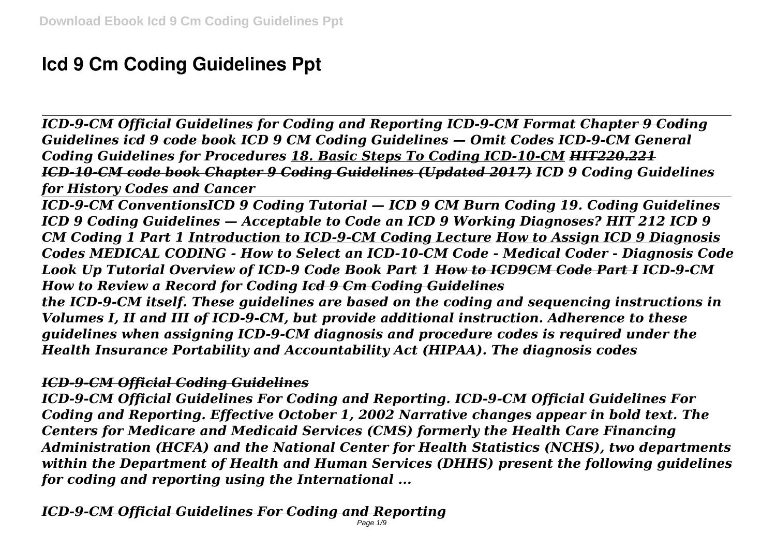# **Icd 9 Cm Coding Guidelines Ppt**

*ICD-9-CM Official Guidelines for Coding and Reporting ICD-9-CM Format Chapter 9 Coding Guidelines icd 9 code book ICD 9 CM Coding Guidelines — Omit Codes ICD-9-CM General Coding Guidelines for Procedures 18. Basic Steps To Coding ICD-10-CM HIT220.221 ICD-10-CM code book Chapter 9 Coding Guidelines (Updated 2017) ICD 9 Coding Guidelines for History Codes and Cancer*

*ICD-9-CM ConventionsICD 9 Coding Tutorial — ICD 9 CM Burn Coding 19. Coding Guidelines ICD 9 Coding Guidelines — Acceptable to Code an ICD 9 Working Diagnoses? HIT 212 ICD 9 CM Coding 1 Part 1 Introduction to ICD-9-CM Coding Lecture How to Assign ICD 9 Diagnosis Codes MEDICAL CODING - How to Select an ICD-10-CM Code - Medical Coder - Diagnosis Code Look Up Tutorial Overview of ICD-9 Code Book Part 1 How to ICD9CM Code Part I ICD-9-CM How to Review a Record for Coding Icd 9 Cm Coding Guidelines*

*the ICD-9-CM itself. These guidelines are based on the coding and sequencing instructions in Volumes I, II and III of ICD-9-CM, but provide additional instruction. Adherence to these guidelines when assigning ICD-9-CM diagnosis and procedure codes is required under the Health Insurance Portability and Accountability Act (HIPAA). The diagnosis codes*

## *ICD-9-CM Official Coding Guidelines*

*ICD-9-CM Official Guidelines For Coding and Reporting. ICD-9-CM Official Guidelines For Coding and Reporting. Effective October 1, 2002 Narrative changes appear in bold text. The Centers for Medicare and Medicaid Services (CMS) formerly the Health Care Financing Administration (HCFA) and the National Center for Health Statistics (NCHS), two departments within the Department of Health and Human Services (DHHS) present the following guidelines for coding and reporting using the International ...*

*ICD-9-CM Official Guidelines For Coding and Reporting* Page 1/9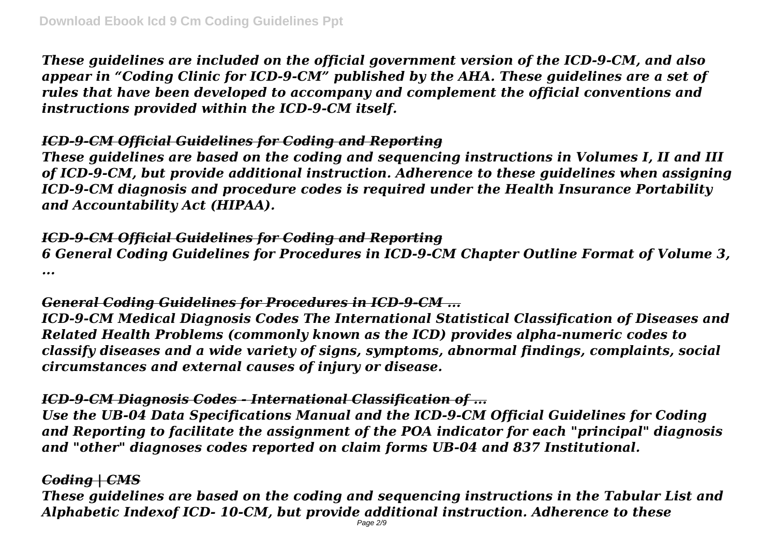*These guidelines are included on the official government version of the ICD-9-CM, and also appear in "Coding Clinic for ICD-9-CM" published by the AHA. These guidelines are a set of rules that have been developed to accompany and complement the official conventions and instructions provided within the ICD-9-CM itself.*

## *ICD-9-CM Official Guidelines for Coding and Reporting*

*These guidelines are based on the coding and sequencing instructions in Volumes I, II and III of ICD-9-CM, but provide additional instruction. Adherence to these guidelines when assigning ICD-9-CM diagnosis and procedure codes is required under the Health Insurance Portability and Accountability Act (HIPAA).*

### *ICD-9-CM Official Guidelines for Coding and Reporting*

*6 General Coding Guidelines for Procedures in ICD-9-CM Chapter Outline Format of Volume 3, ...*

## *General Coding Guidelines for Procedures in ICD-9-CM ...*

*ICD-9-CM Medical Diagnosis Codes The International Statistical Classification of Diseases and Related Health Problems (commonly known as the ICD) provides alpha-numeric codes to classify diseases and a wide variety of signs, symptoms, abnormal findings, complaints, social circumstances and external causes of injury or disease.*

# *ICD-9-CM Diagnosis Codes - International Classification of ...*

*Use the UB-04 Data Specifications Manual and the ICD-9-CM Official Guidelines for Coding and Reporting to facilitate the assignment of the POA indicator for each "principal" diagnosis and "other" diagnoses codes reported on claim forms UB-04 and 837 Institutional.*

## *Coding | CMS*

*These guidelines are based on the coding and sequencing instructions in the Tabular List and Alphabetic Indexof ICD- 10-CM, but provide additional instruction. Adherence to these*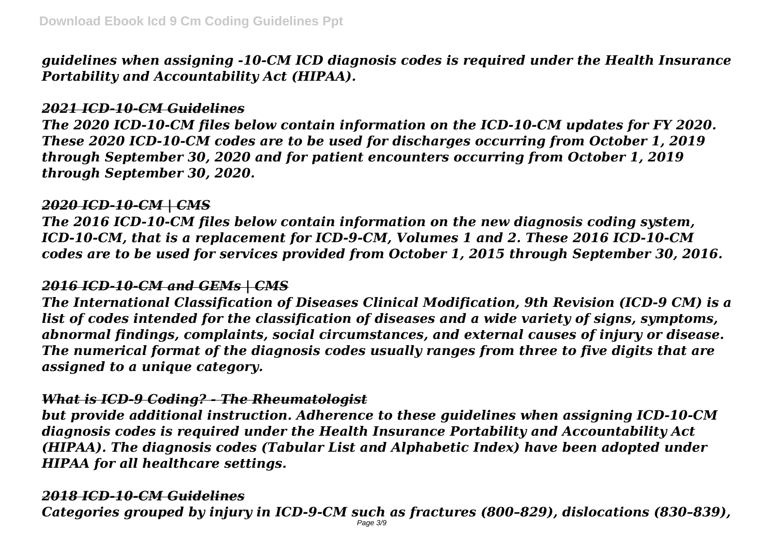*guidelines when assigning -10-CM ICD diagnosis codes is required under the Health Insurance Portability and Accountability Act (HIPAA).*

## *2021 ICD-10-CM Guidelines*

*The 2020 ICD-10-CM files below contain information on the ICD-10-CM updates for FY 2020. These 2020 ICD-10-CM codes are to be used for discharges occurring from October 1, 2019 through September 30, 2020 and for patient encounters occurring from October 1, 2019 through September 30, 2020.*

#### *2020 ICD-10-CM | CMS*

*The 2016 ICD-10-CM files below contain information on the new diagnosis coding system, ICD-10-CM, that is a replacement for ICD-9-CM, Volumes 1 and 2. These 2016 ICD-10-CM codes are to be used for services provided from October 1, 2015 through September 30, 2016.*

### *2016 ICD-10-CM and GEMs | CMS*

*The International Classification of Diseases Clinical Modification, 9th Revision (ICD-9 CM) is a list of codes intended for the classification of diseases and a wide variety of signs, symptoms, abnormal findings, complaints, social circumstances, and external causes of injury or disease. The numerical format of the diagnosis codes usually ranges from three to five digits that are assigned to a unique category.*

### *What is ICD-9 Coding? - The Rheumatologist*

*but provide additional instruction. Adherence to these guidelines when assigning ICD-10-CM diagnosis codes is required under the Health Insurance Portability and Accountability Act (HIPAA). The diagnosis codes (Tabular List and Alphabetic Index) have been adopted under HIPAA for all healthcare settings.*

### *2018 ICD-10-CM Guidelines*

*Categories grouped by injury in ICD-9-CM such as fractures (800–829), dislocations (830–839),*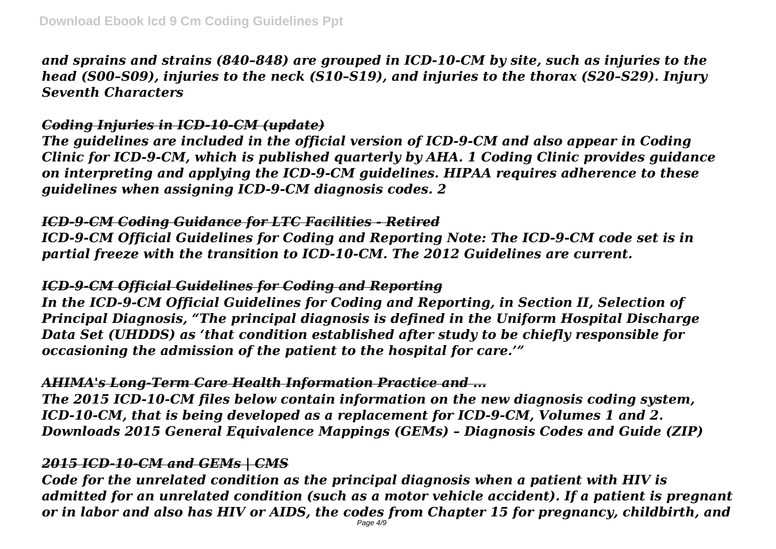*and sprains and strains (840–848) are grouped in ICD-10-CM by site, such as injuries to the head (S00–S09), injuries to the neck (S10–S19), and injuries to the thorax (S20–S29). Injury Seventh Characters*

## *Coding Injuries in ICD-10-CM (update)*

*The guidelines are included in the official version of ICD-9-CM and also appear in Coding Clinic for ICD-9-CM, which is published quarterly by AHA. 1 Coding Clinic provides guidance on interpreting and applying the ICD-9-CM guidelines. HIPAA requires adherence to these guidelines when assigning ICD-9-CM diagnosis codes. 2*

## *ICD-9-CM Coding Guidance for LTC Facilities - Retired*

*ICD-9-CM Official Guidelines for Coding and Reporting Note: The ICD-9-CM code set is in partial freeze with the transition to ICD-10-CM. The 2012 Guidelines are current.*

### *ICD-9-CM Official Guidelines for Coding and Reporting*

*In the ICD-9-CM Official Guidelines for Coding and Reporting, in Section II, Selection of Principal Diagnosis, "The principal diagnosis is defined in the Uniform Hospital Discharge Data Set (UHDDS) as 'that condition established after study to be chiefly responsible for occasioning the admission of the patient to the hospital for care.'"*

# *AHIMA's Long-Term Care Health Information Practice and ...*

*The 2015 ICD-10-CM files below contain information on the new diagnosis coding system, ICD-10-CM, that is being developed as a replacement for ICD-9-CM, Volumes 1 and 2. Downloads 2015 General Equivalence Mappings (GEMs) – Diagnosis Codes and Guide (ZIP)*

# *2015 ICD-10-CM and GEMs | CMS*

*Code for the unrelated condition as the principal diagnosis when a patient with HIV is admitted for an unrelated condition (such as a motor vehicle accident). If a patient is pregnant or in labor and also has HIV or AIDS, the codes from Chapter 15 for pregnancy, childbirth, and*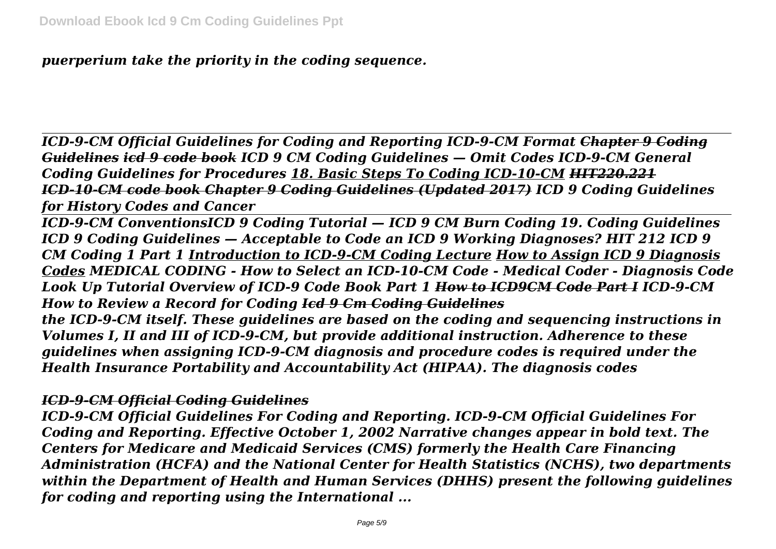*puerperium take the priority in the coding sequence.*

*ICD-9-CM Official Guidelines for Coding and Reporting ICD-9-CM Format Chapter 9 Coding Guidelines icd 9 code book ICD 9 CM Coding Guidelines — Omit Codes ICD-9-CM General Coding Guidelines for Procedures 18. Basic Steps To Coding ICD-10-CM HIT220.221 ICD-10-CM code book Chapter 9 Coding Guidelines (Updated 2017) ICD 9 Coding Guidelines for History Codes and Cancer*

*ICD-9-CM ConventionsICD 9 Coding Tutorial — ICD 9 CM Burn Coding 19. Coding Guidelines ICD 9 Coding Guidelines — Acceptable to Code an ICD 9 Working Diagnoses? HIT 212 ICD 9 CM Coding 1 Part 1 Introduction to ICD-9-CM Coding Lecture How to Assign ICD 9 Diagnosis Codes MEDICAL CODING - How to Select an ICD-10-CM Code - Medical Coder - Diagnosis Code Look Up Tutorial Overview of ICD-9 Code Book Part 1 How to ICD9CM Code Part I ICD-9-CM How to Review a Record for Coding Icd 9 Cm Coding Guidelines*

*the ICD-9-CM itself. These guidelines are based on the coding and sequencing instructions in Volumes I, II and III of ICD-9-CM, but provide additional instruction. Adherence to these guidelines when assigning ICD-9-CM diagnosis and procedure codes is required under the Health Insurance Portability and Accountability Act (HIPAA). The diagnosis codes*

### *ICD-9-CM Official Coding Guidelines*

*ICD-9-CM Official Guidelines For Coding and Reporting. ICD-9-CM Official Guidelines For Coding and Reporting. Effective October 1, 2002 Narrative changes appear in bold text. The Centers for Medicare and Medicaid Services (CMS) formerly the Health Care Financing Administration (HCFA) and the National Center for Health Statistics (NCHS), two departments within the Department of Health and Human Services (DHHS) present the following guidelines for coding and reporting using the International ...*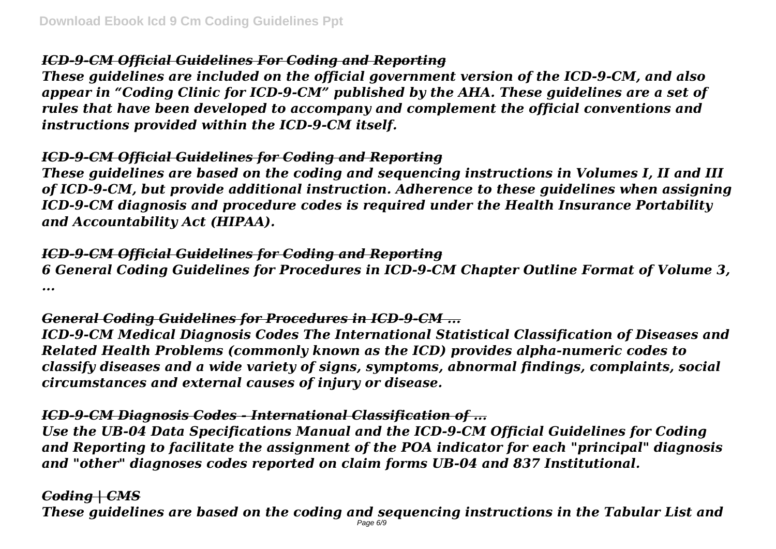# *ICD-9-CM Official Guidelines For Coding and Reporting*

*These guidelines are included on the official government version of the ICD-9-CM, and also appear in "Coding Clinic for ICD-9-CM" published by the AHA. These guidelines are a set of rules that have been developed to accompany and complement the official conventions and instructions provided within the ICD-9-CM itself.*

## *ICD-9-CM Official Guidelines for Coding and Reporting*

*These guidelines are based on the coding and sequencing instructions in Volumes I, II and III of ICD-9-CM, but provide additional instruction. Adherence to these guidelines when assigning ICD-9-CM diagnosis and procedure codes is required under the Health Insurance Portability and Accountability Act (HIPAA).*

### *ICD-9-CM Official Guidelines for Coding and Reporting*

*6 General Coding Guidelines for Procedures in ICD-9-CM Chapter Outline Format of Volume 3, ...*

## *General Coding Guidelines for Procedures in ICD-9-CM ...*

*ICD-9-CM Medical Diagnosis Codes The International Statistical Classification of Diseases and Related Health Problems (commonly known as the ICD) provides alpha-numeric codes to classify diseases and a wide variety of signs, symptoms, abnormal findings, complaints, social circumstances and external causes of injury or disease.*

# *ICD-9-CM Diagnosis Codes - International Classification of ...*

*Use the UB-04 Data Specifications Manual and the ICD-9-CM Official Guidelines for Coding and Reporting to facilitate the assignment of the POA indicator for each "principal" diagnosis and "other" diagnoses codes reported on claim forms UB-04 and 837 Institutional.*

# *Coding | CMS*

*These guidelines are based on the coding and sequencing instructions in the Tabular List and*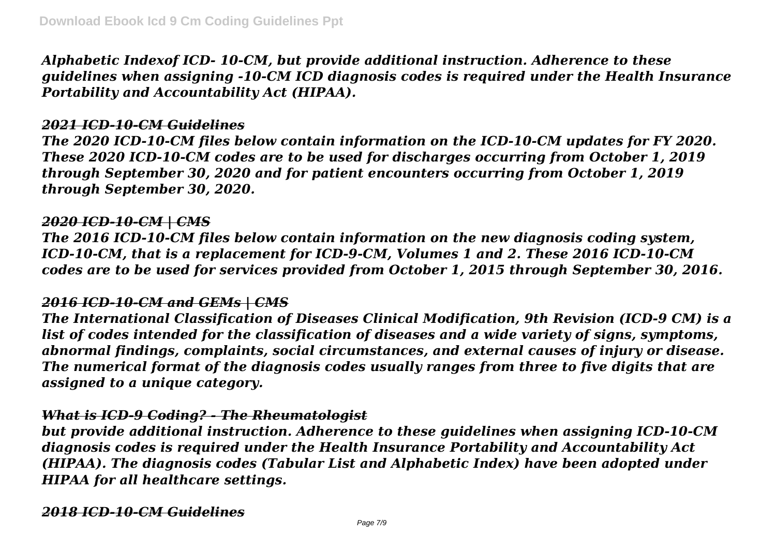*Alphabetic Indexof ICD- 10-CM, but provide additional instruction. Adherence to these guidelines when assigning -10-CM ICD diagnosis codes is required under the Health Insurance Portability and Accountability Act (HIPAA).*

#### *2021 ICD-10-CM Guidelines*

*The 2020 ICD-10-CM files below contain information on the ICD-10-CM updates for FY 2020. These 2020 ICD-10-CM codes are to be used for discharges occurring from October 1, 2019 through September 30, 2020 and for patient encounters occurring from October 1, 2019 through September 30, 2020.*

#### *2020 ICD-10-CM | CMS*

*The 2016 ICD-10-CM files below contain information on the new diagnosis coding system, ICD-10-CM, that is a replacement for ICD-9-CM, Volumes 1 and 2. These 2016 ICD-10-CM codes are to be used for services provided from October 1, 2015 through September 30, 2016.*

### *2016 ICD-10-CM and GEMs | CMS*

*The International Classification of Diseases Clinical Modification, 9th Revision (ICD-9 CM) is a list of codes intended for the classification of diseases and a wide variety of signs, symptoms, abnormal findings, complaints, social circumstances, and external causes of injury or disease. The numerical format of the diagnosis codes usually ranges from three to five digits that are assigned to a unique category.*

### *What is ICD-9 Coding? - The Rheumatologist*

*but provide additional instruction. Adherence to these guidelines when assigning ICD-10-CM diagnosis codes is required under the Health Insurance Portability and Accountability Act (HIPAA). The diagnosis codes (Tabular List and Alphabetic Index) have been adopted under HIPAA for all healthcare settings.*

*2018 ICD-10-CM Guidelines*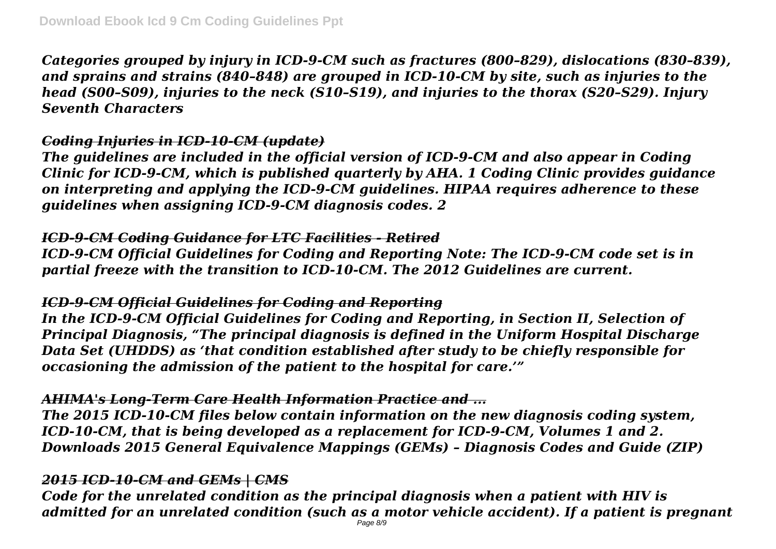*Categories grouped by injury in ICD-9-CM such as fractures (800–829), dislocations (830–839), and sprains and strains (840–848) are grouped in ICD-10-CM by site, such as injuries to the head (S00–S09), injuries to the neck (S10–S19), and injuries to the thorax (S20–S29). Injury Seventh Characters*

## *Coding Injuries in ICD-10-CM (update)*

*The guidelines are included in the official version of ICD-9-CM and also appear in Coding Clinic for ICD-9-CM, which is published quarterly by AHA. 1 Coding Clinic provides guidance on interpreting and applying the ICD-9-CM guidelines. HIPAA requires adherence to these guidelines when assigning ICD-9-CM diagnosis codes. 2*

## *ICD-9-CM Coding Guidance for LTC Facilities - Retired*

*ICD-9-CM Official Guidelines for Coding and Reporting Note: The ICD-9-CM code set is in partial freeze with the transition to ICD-10-CM. The 2012 Guidelines are current.*

# *ICD-9-CM Official Guidelines for Coding and Reporting*

*In the ICD-9-CM Official Guidelines for Coding and Reporting, in Section II, Selection of Principal Diagnosis, "The principal diagnosis is defined in the Uniform Hospital Discharge Data Set (UHDDS) as 'that condition established after study to be chiefly responsible for occasioning the admission of the patient to the hospital for care.'"*

# *AHIMA's Long-Term Care Health Information Practice and ...*

*The 2015 ICD-10-CM files below contain information on the new diagnosis coding system, ICD-10-CM, that is being developed as a replacement for ICD-9-CM, Volumes 1 and 2. Downloads 2015 General Equivalence Mappings (GEMs) – Diagnosis Codes and Guide (ZIP)*

# *2015 ICD-10-CM and GEMs | CMS*

*Code for the unrelated condition as the principal diagnosis when a patient with HIV is admitted for an unrelated condition (such as a motor vehicle accident). If a patient is pregnant*